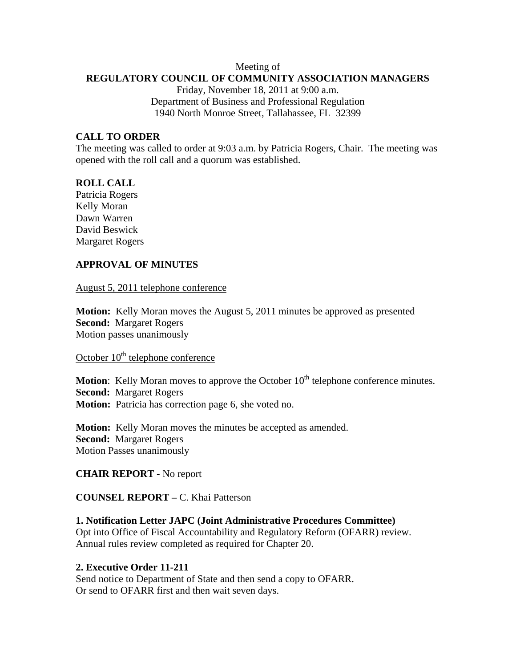#### Meeting of **REGULATORY COUNCIL OF COMMUNITY ASSOCIATION MANAGERS**

Friday, November 18, 2011 at 9:00 a.m. Department of Business and Professional Regulation 1940 North Monroe Street, Tallahassee, FL 32399

### **CALL TO ORDER**

The meeting was called to order at 9:03 a.m. by Patricia Rogers, Chair. The meeting was opened with the roll call and a quorum was established.

#### **ROLL CALL**

Patricia Rogers Kelly Moran Dawn Warren David Beswick Margaret Rogers

### **APPROVAL OF MINUTES**

#### August 5, 2011 telephone conference

**Motion:** Kelly Moran moves the August 5, 2011 minutes be approved as presented **Second:** Margaret Rogers Motion passes unanimously

# October  $10<sup>th</sup>$  telephone conference

**Motion:** Kelly Moran moves to approve the October 10<sup>th</sup> telephone conference minutes. **Second:** Margaret Rogers **Motion:** Patricia has correction page 6, she voted no.

**Motion:** Kelly Moran moves the minutes be accepted as amended. **Second:** Margaret Rogers Motion Passes unanimously

#### **CHAIR REPORT -** No report

#### **COUNSEL REPORT –** C. Khai Patterson

#### **1. Notification Letter JAPC (Joint Administrative Procedures Committee)**

Opt into Office of Fiscal Accountability and Regulatory Reform (OFARR) review. Annual rules review completed as required for Chapter 20.

#### **2. Executive Order 11-211**

Send notice to Department of State and then send a copy to OFARR. Or send to OFARR first and then wait seven days.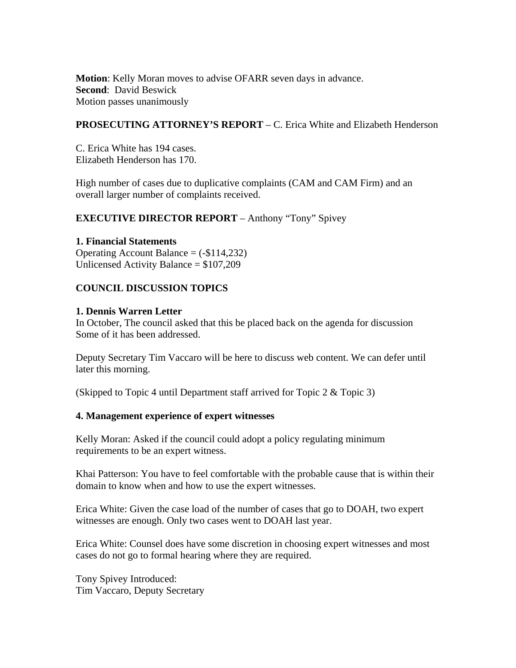**Motion**: Kelly Moran moves to advise OFARR seven days in advance. **Second**: David Beswick Motion passes unanimously

### **PROSECUTING ATTORNEY'S REPORT** – C. Erica White and Elizabeth Henderson

C. Erica White has 194 cases. Elizabeth Henderson has 170.

High number of cases due to duplicative complaints (CAM and CAM Firm) and an overall larger number of complaints received.

## **EXECUTIVE DIRECTOR REPORT** – Anthony "Tony" Spivey

### **1. Financial Statements**

Operating Account Balance  $= (-\$114,232)$ Unlicensed Activity Balance = \$107,209

## **COUNCIL DISCUSSION TOPICS**

### **1. Dennis Warren Letter**

In October, The council asked that this be placed back on the agenda for discussion Some of it has been addressed.

Deputy Secretary Tim Vaccaro will be here to discuss web content. We can defer until later this morning.

(Skipped to Topic 4 until Department staff arrived for Topic 2 & Topic 3)

### **4. Management experience of expert witnesses**

Kelly Moran: Asked if the council could adopt a policy regulating minimum requirements to be an expert witness.

Khai Patterson: You have to feel comfortable with the probable cause that is within their domain to know when and how to use the expert witnesses.

Erica White: Given the case load of the number of cases that go to DOAH, two expert witnesses are enough. Only two cases went to DOAH last year.

Erica White: Counsel does have some discretion in choosing expert witnesses and most cases do not go to formal hearing where they are required.

Tony Spivey Introduced: Tim Vaccaro, Deputy Secretary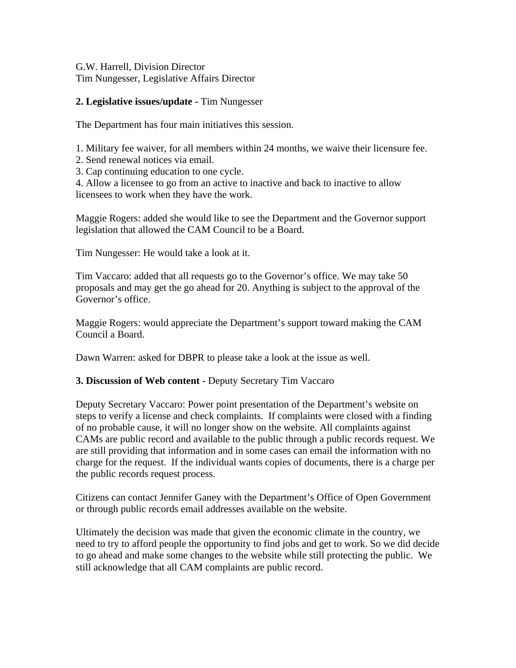G.W. Harrell, Division Director Tim Nungesser, Legislative Affairs Director

## **2. Legislative issues/update -** Tim Nungesser

The Department has four main initiatives this session.

1. Military fee waiver, for all members within 24 months, we waive their licensure fee.

- 2. Send renewal notices via email.
- 3. Cap continuing education to one cycle.

4. Allow a licensee to go from an active to inactive and back to inactive to allow licensees to work when they have the work.

Maggie Rogers: added she would like to see the Department and the Governor support legislation that allowed the CAM Council to be a Board.

Tim Nungesser: He would take a look at it.

Tim Vaccaro: added that all requests go to the Governor's office. We may take 50 proposals and may get the go ahead for 20. Anything is subject to the approval of the Governor's office.

Maggie Rogers: would appreciate the Department's support toward making the CAM Council a Board.

Dawn Warren: asked for DBPR to please take a look at the issue as well.

### **3. Discussion of Web content -** Deputy Secretary Tim Vaccaro

Deputy Secretary Vaccaro: Power point presentation of the Department's website on steps to verify a license and check complaints. If complaints were closed with a finding of no probable cause, it will no longer show on the website. All complaints against CAMs are public record and available to the public through a public records request. We are still providing that information and in some cases can email the information with no charge for the request. If the individual wants copies of documents, there is a charge per the public records request process.

Citizens can contact Jennifer Ganey with the Department's Office of Open Government or through public records email addresses available on the website.

Ultimately the decision was made that given the economic climate in the country, we need to try to afford people the opportunity to find jobs and get to work. So we did decide to go ahead and make some changes to the website while still protecting the public. We still acknowledge that all CAM complaints are public record.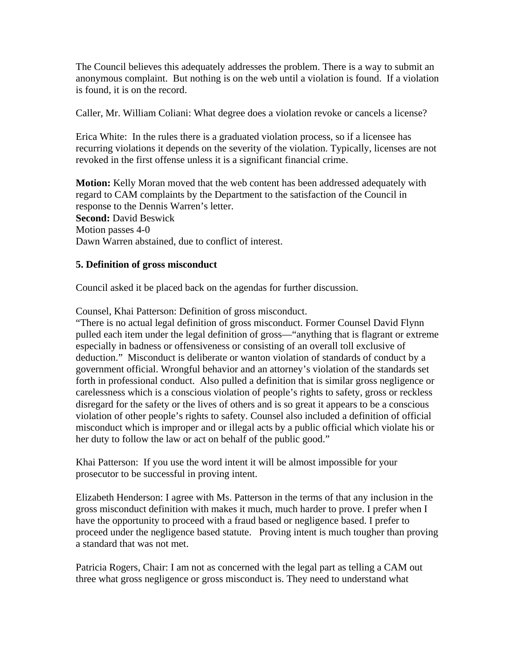The Council believes this adequately addresses the problem. There is a way to submit an anonymous complaint. But nothing is on the web until a violation is found. If a violation is found, it is on the record.

Caller, Mr. William Coliani: What degree does a violation revoke or cancels a license?

Erica White: In the rules there is a graduated violation process, so if a licensee has recurring violations it depends on the severity of the violation. Typically, licenses are not revoked in the first offense unless it is a significant financial crime.

**Motion:** Kelly Moran moved that the web content has been addressed adequately with regard to CAM complaints by the Department to the satisfaction of the Council in response to the Dennis Warren's letter. **Second:** David Beswick Motion passes 4-0 Dawn Warren abstained, due to conflict of interest.

## **5. Definition of gross misconduct**

Council asked it be placed back on the agendas for further discussion.

Counsel, Khai Patterson: Definition of gross misconduct.

"There is no actual legal definition of gross misconduct. Former Counsel David Flynn pulled each item under the legal definition of gross—"anything that is flagrant or extreme especially in badness or offensiveness or consisting of an overall toll exclusive of deduction." Misconduct is deliberate or wanton violation of standards of conduct by a government official. Wrongful behavior and an attorney's violation of the standards set forth in professional conduct. Also pulled a definition that is similar gross negligence or carelessness which is a conscious violation of people's rights to safety, gross or reckless disregard for the safety or the lives of others and is so great it appears to be a conscious violation of other people's rights to safety. Counsel also included a definition of official misconduct which is improper and or illegal acts by a public official which violate his or her duty to follow the law or act on behalf of the public good."

Khai Patterson: If you use the word intent it will be almost impossible for your prosecutor to be successful in proving intent.

Elizabeth Henderson: I agree with Ms. Patterson in the terms of that any inclusion in the gross misconduct definition with makes it much, much harder to prove. I prefer when I have the opportunity to proceed with a fraud based or negligence based. I prefer to proceed under the negligence based statute. Proving intent is much tougher than proving a standard that was not met.

Patricia Rogers, Chair: I am not as concerned with the legal part as telling a CAM out three what gross negligence or gross misconduct is. They need to understand what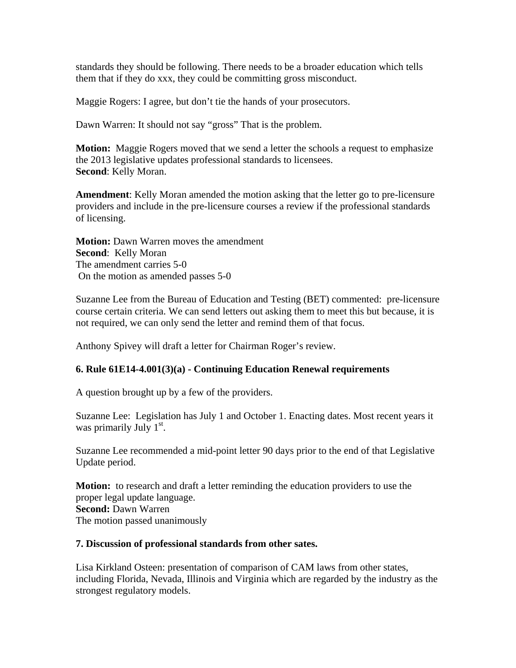standards they should be following. There needs to be a broader education which tells them that if they do xxx, they could be committing gross misconduct.

Maggie Rogers: I agree, but don't tie the hands of your prosecutors.

Dawn Warren: It should not say "gross" That is the problem.

**Motion:** Maggie Rogers moved that we send a letter the schools a request to emphasize the 2013 legislative updates professional standards to licensees. **Second**: Kelly Moran.

**Amendment**: Kelly Moran amended the motion asking that the letter go to pre-licensure providers and include in the pre-licensure courses a review if the professional standards of licensing.

**Motion:** Dawn Warren moves the amendment **Second**: Kelly Moran The amendment carries 5-0 On the motion as amended passes 5-0

Suzanne Lee from the Bureau of Education and Testing (BET) commented: pre-licensure course certain criteria. We can send letters out asking them to meet this but because, it is not required, we can only send the letter and remind them of that focus.

Anthony Spivey will draft a letter for Chairman Roger's review.

## **6. Rule 61E14-4.001(3)(a) - Continuing Education Renewal requirements**

A question brought up by a few of the providers.

Suzanne Lee: Legislation has July 1 and October 1. Enacting dates. Most recent years it was primarily July  $1<sup>st</sup>$ .

Suzanne Lee recommended a mid-point letter 90 days prior to the end of that Legislative Update period.

**Motion:** to research and draft a letter reminding the education providers to use the proper legal update language. **Second:** Dawn Warren The motion passed unanimously

### **7. Discussion of professional standards from other sates.**

Lisa Kirkland Osteen: presentation of comparison of CAM laws from other states, including Florida, Nevada, Illinois and Virginia which are regarded by the industry as the strongest regulatory models.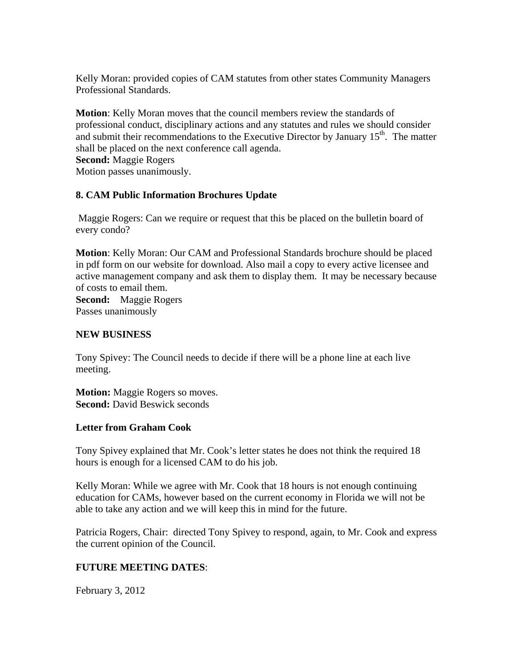Kelly Moran: provided copies of CAM statutes from other states Community Managers Professional Standards.

**Motion**: Kelly Moran moves that the council members review the standards of professional conduct, disciplinary actions and any statutes and rules we should consider and submit their recommendations to the Executive Director by January  $15<sup>th</sup>$ . The matter shall be placed on the next conference call agenda. **Second:** Maggie Rogers Motion passes unanimously.

### **8. CAM Public Information Brochures Update**

Maggie Rogers: Can we require or request that this be placed on the bulletin board of every condo?

**Motion**: Kelly Moran: Our CAM and Professional Standards brochure should be placed in pdf form on our website for download. Also mail a copy to every active licensee and active management company and ask them to display them. It may be necessary because of costs to email them.

**Second:** Maggie Rogers Passes unanimously

### **NEW BUSINESS**

Tony Spivey: The Council needs to decide if there will be a phone line at each live meeting.

**Motion:** Maggie Rogers so moves. **Second:** David Beswick seconds

### **Letter from Graham Cook**

Tony Spivey explained that Mr. Cook's letter states he does not think the required 18 hours is enough for a licensed CAM to do his job.

Kelly Moran: While we agree with Mr. Cook that 18 hours is not enough continuing education for CAMs, however based on the current economy in Florida we will not be able to take any action and we will keep this in mind for the future.

Patricia Rogers, Chair: directed Tony Spivey to respond, again, to Mr. Cook and express the current opinion of the Council.

### **FUTURE MEETING DATES**:

February 3, 2012